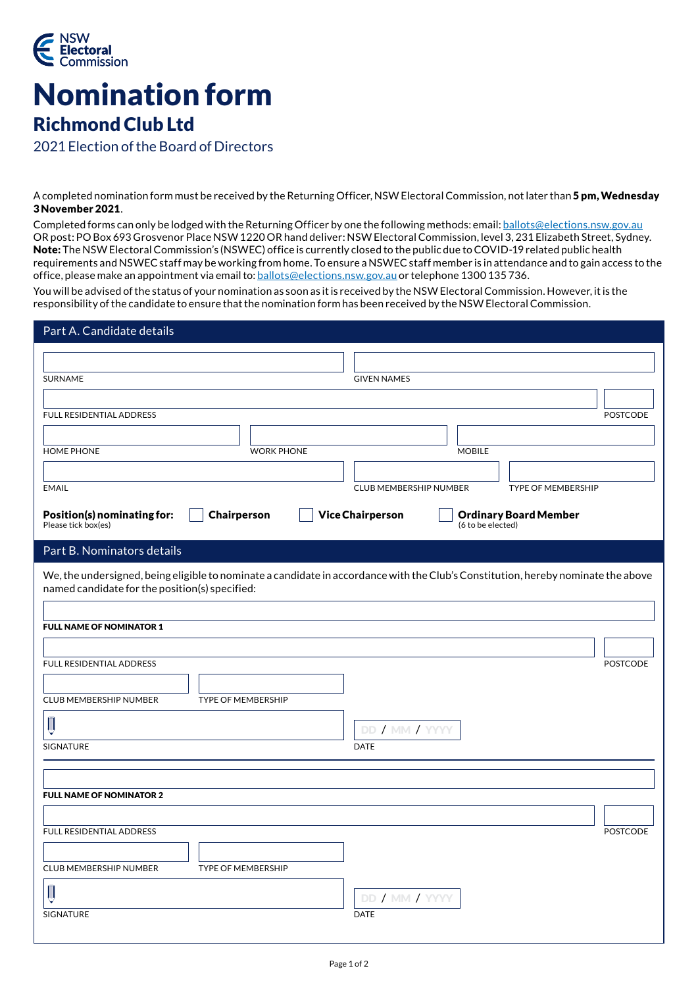

## Nomination form Richmond Club Ltd

2021 Election of the Board of Directors

A completed nomination form must be received by the Returning Officer, NSW Electoral Commission, not later than 5 pm, Wednesday 3 November 2021.

Completed forms can only be lodged with the Returning Officer by one the following methods: email: [ballots@elections.nsw.gov.au](mailto:ballots%40elections.nsw.gov.au?subject=Nomination%20form) OR post: PO Box 693 Grosvenor Place NSW 1220 OR hand deliver: NSW Electoral Commission, level 3, 231 Elizabeth Street, Sydney. Note: The NSW Electoral Commission's (NSWEC) office is currently closed to the public due to COVID-19 related public health requirements and NSWEC staff may be working from home. To ensure a NSWEC staff member is in attendance and to gain access to the office, please make an appointment via email to: [ballots@elections.nsw.gov.au](mailto:ballots%40elections.nsw.gov.au?subject=Appointment%20request) or telephone 1300 135 736.

You will be advised of the status of your nomination as soon as it is received by the NSW Electoral Commission. However, it is the responsibility of the candidate to ensure that the nomination form has been received by the NSW Electoral Commission.

| Part A. Candidate details                                                                                                                                                           |                                                         |
|-------------------------------------------------------------------------------------------------------------------------------------------------------------------------------------|---------------------------------------------------------|
|                                                                                                                                                                                     |                                                         |
| SURNAME                                                                                                                                                                             | <b>GIVEN NAMES</b>                                      |
|                                                                                                                                                                                     |                                                         |
| FULL RESIDENTIAL ADDRESS                                                                                                                                                            | <b>POSTCODE</b>                                         |
|                                                                                                                                                                                     |                                                         |
| <b>HOME PHONE</b><br><b>WORK PHONE</b>                                                                                                                                              | <b>MOBILE</b>                                           |
| <b>EMAIL</b>                                                                                                                                                                        | CLUB MEMBERSHIP NUMBER<br>TYPE OF MEMBERSHIP            |
| Position(s) nominating for:<br><b>Chairperson</b>                                                                                                                                   | <b>Vice Chairperson</b><br><b>Ordinary Board Member</b> |
| Please tick box(es)                                                                                                                                                                 | (6 to be elected)                                       |
| Part B. Nominators details                                                                                                                                                          |                                                         |
| We, the undersigned, being eligible to nominate a candidate in accordance with the Club's Constitution, hereby nominate the above<br>named candidate for the position(s) specified: |                                                         |
| <b>FULL NAME OF NOMINATOR 1</b>                                                                                                                                                     |                                                         |
|                                                                                                                                                                                     |                                                         |
| FULL RESIDENTIAL ADDRESS                                                                                                                                                            | <b>POSTCODE</b>                                         |
|                                                                                                                                                                                     |                                                         |
| CLUB MEMBERSHIP NUMBER<br><b>TYPE OF MEMBERSHIP</b>                                                                                                                                 |                                                         |
| П                                                                                                                                                                                   | DD / MM / YYYY                                          |
| SIGNATURE                                                                                                                                                                           | <b>DATE</b>                                             |
|                                                                                                                                                                                     |                                                         |
| <b>FULL NAME OF NOMINATOR 2</b>                                                                                                                                                     |                                                         |
|                                                                                                                                                                                     |                                                         |
| FULL RESIDENTIAL ADDRESS                                                                                                                                                            | <b>POSTCODE</b>                                         |
|                                                                                                                                                                                     |                                                         |
| CLUB MEMBERSHIP NUMBER<br>TYPE OF MEMBERSHIP                                                                                                                                        |                                                         |
| Ш                                                                                                                                                                                   | DD / MM / YYYY                                          |
| SIGNATURE                                                                                                                                                                           | <b>DATE</b>                                             |